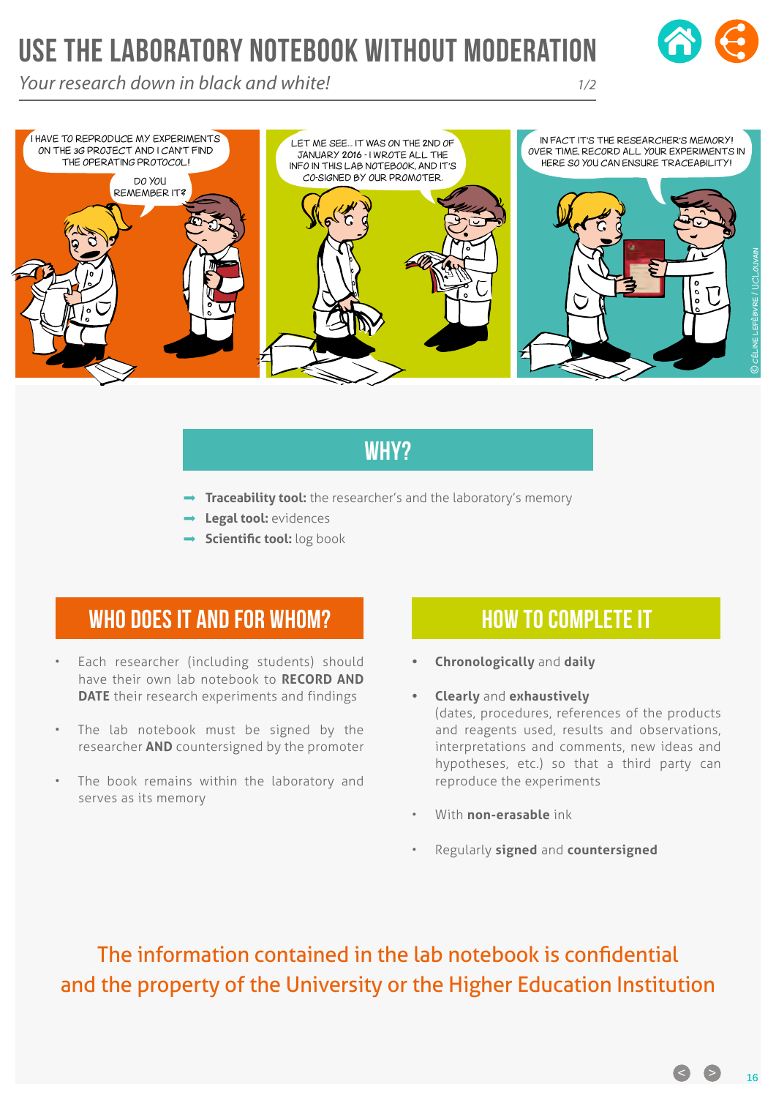# USE THE LABORATORY NOTEBOOK WITHOUT MODERATION

*Your research down in black and white! 1/2*





## Why?

- **Traceability tool:** the researcher's and the laboratory's memory
- **Legal tool:** evidences
- **→ Scientific tool:** log book

## WHO DOES IT AND FOR WHOM?

- Each researcher (including students) should have their own lab notebook to **RECORD AND DATE** their research experiments and findings
- The lab notebook must be signed by the researcher **AND** countersigned by the promoter
- The book remains within the laboratory and serves as its memory

#### How to complete it

- **• Chronologically** and **daily**
- **• Clearly** and **exhaustively** (dates, procedures, references of the products and reagents used, results and observations, interpretations and comments, new ideas and hypotheses, etc.) so that a third party can reproduce the experiments
- With **non-erasable** ink
- Regularly **signed** and **countersigned**

The information contained in the lab notebook is confidential and the property of the University or the Higher Education Institution